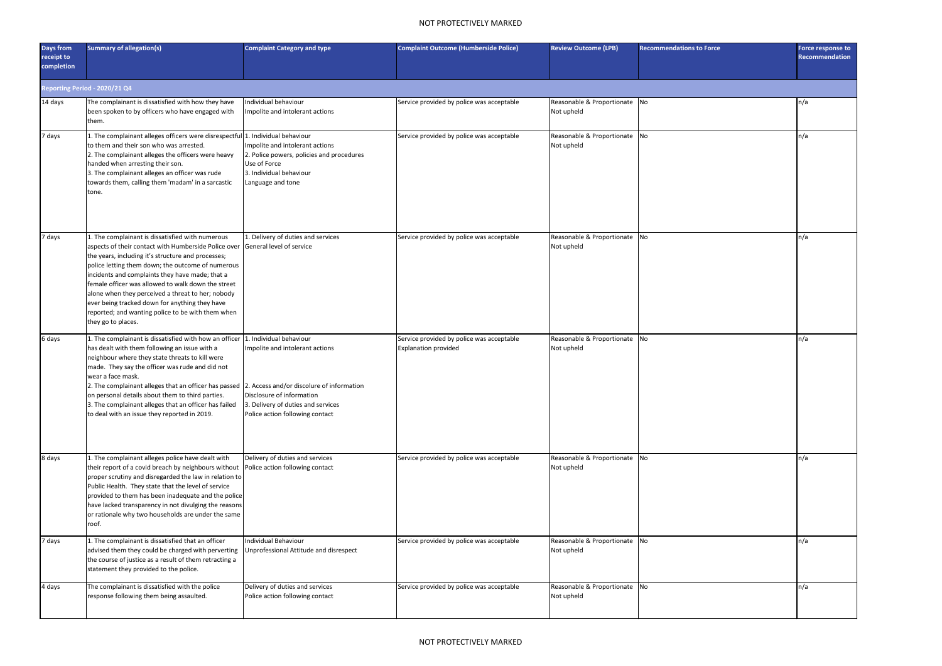## NOT PROTECTIVELY MARKED

| Days from<br>receipt to<br>completion | <b>Summary of allegation(s)</b>                                                                                                                                                                                                                                                                                                                                                                                                                                                                                            | <b>Complaint Category and type</b>                                                                                                           | <b>Complaint Outcome (Humberside Police)</b>                             | <b>Review Outcome (LPB)</b>                 | <b>Recommendations to Force</b> | Force response to<br>Recommendation |  |  |
|---------------------------------------|----------------------------------------------------------------------------------------------------------------------------------------------------------------------------------------------------------------------------------------------------------------------------------------------------------------------------------------------------------------------------------------------------------------------------------------------------------------------------------------------------------------------------|----------------------------------------------------------------------------------------------------------------------------------------------|--------------------------------------------------------------------------|---------------------------------------------|---------------------------------|-------------------------------------|--|--|
| Reporting Period - 2020/21 Q4         |                                                                                                                                                                                                                                                                                                                                                                                                                                                                                                                            |                                                                                                                                              |                                                                          |                                             |                                 |                                     |  |  |
| 14 days                               | The complainant is dissatisfied with how they have<br>been spoken to by officers who have engaged with<br>them.                                                                                                                                                                                                                                                                                                                                                                                                            | Individual behaviour<br>Impolite and intolerant actions                                                                                      | Service provided by police was acceptable                                | Reasonable & Proportionate No<br>Not upheld |                                 | n/a                                 |  |  |
| 7 days                                | 1. The complainant alleges officers were disrespectful 1. Individual behaviour<br>to them and their son who was arrested.<br>2. The complainant alleges the officers were heavy<br>handed when arresting their son.<br>3. The complainant alleges an officer was rude<br>towards them, calling them 'madam' in a sarcastic<br>tone.                                                                                                                                                                                        | Impolite and intolerant actions<br>2. Police powers, policies and procedures<br>Use of Force<br>3. Individual behaviour<br>Language and tone | Service provided by police was acceptable                                | Reasonable & Proportionate No<br>Not upheld |                                 | n/a                                 |  |  |
| 7 days                                | 1. The complainant is dissatisfied with numerous<br>aspects of their contact with Humberside Police over<br>the years, including it's structure and processes;<br>police letting them down; the outcome of numerous<br>incidents and complaints they have made; that a<br>female officer was allowed to walk down the street<br>alone when they perceived a threat to her; nobody<br>ever being tracked down for anything they have<br>reported; and wanting police to be with them when<br>they go to places.             | 1. Delivery of duties and services<br>General level of service                                                                               | Service provided by police was acceptable                                | Reasonable & Proportionate No<br>Not upheld |                                 | n/a                                 |  |  |
| 6 days                                | 1. The complainant is dissatisfied with how an officer 1. Individual behaviour<br>has dealt with them following an issue with a<br>neighbour where they state threats to kill were<br>made. They say the officer was rude and did not<br>wear a face mask.<br>2. The complainant alleges that an officer has passed 2. Access and/or discolure of information<br>on personal details about them to third parties.<br>3. The complainant alleges that an officer has failed<br>to deal with an issue they reported in 2019. | Impolite and intolerant actions<br>Disclosure of information<br>3. Delivery of duties and services<br>Police action following contact        | Service provided by police was acceptable<br><b>Explanation provided</b> | Reasonable & Proportionate No<br>Not upheld |                                 | n/a                                 |  |  |
| 8 days                                | 1. The complainant alleges police have dealt with<br>their report of a covid breach by neighbours without<br>proper scrutiny and disregarded the law in relation to<br>Public Health. They state that the level of service<br>provided to them has been inadequate and the police<br>have lacked transparency in not divulging the reasons<br>or rationale why two households are under the same<br>roof.                                                                                                                  | Delivery of duties and services<br>Police action following contact                                                                           | Service provided by police was acceptable                                | Reasonable & Proportionate No<br>Not upheld |                                 | n/a                                 |  |  |
| 7 days                                | 1. The complainant is dissatisfied that an officer<br>advised them they could be charged with perverting<br>the course of justice as a result of them retracting a<br>statement they provided to the police.                                                                                                                                                                                                                                                                                                               | Individual Behaviour<br>Unprofessional Attitude and disrespect                                                                               | Service provided by police was acceptable                                | Reasonable & Proportionate No<br>Not upheld |                                 | n/a                                 |  |  |
| 4 days                                | The complainant is dissatisfied with the police<br>response following them being assaulted.                                                                                                                                                                                                                                                                                                                                                                                                                                | Delivery of duties and services<br>Police action following contact                                                                           | Service provided by police was acceptable                                | Reasonable & Proportionate No<br>Not upheld |                                 | n/a                                 |  |  |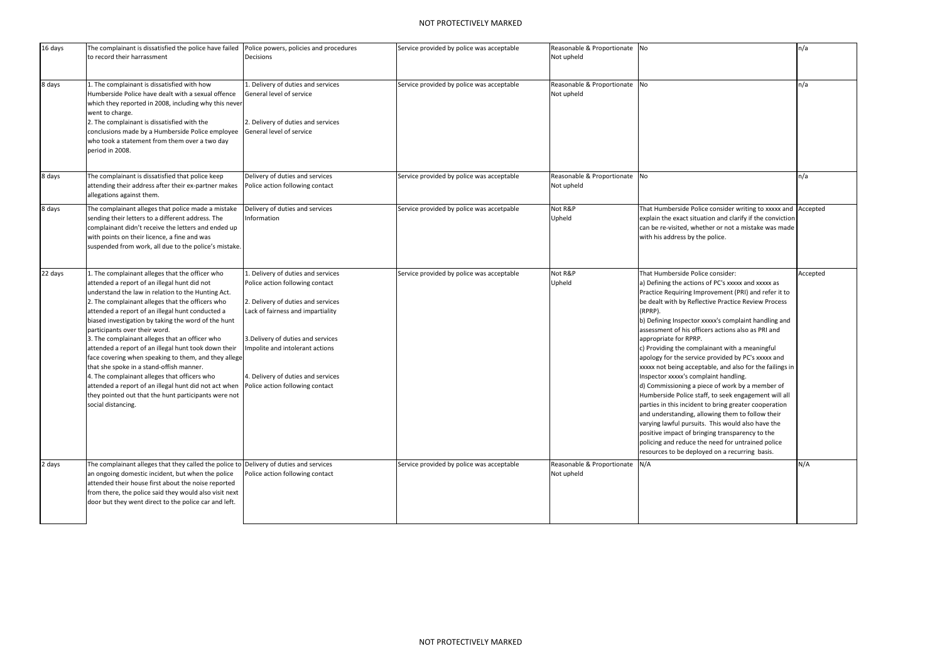## NOT PROTECTIVELY MARKED

| 16 days | The complainant is dissatisfied the police have failed<br>to record their harrassment                                                                                                                                                                                                                                                                                                                                                                                                                                                                                                                                                                                                                                                                     | Police powers, policies and procedures<br>Decisions                                                                                                                                                                                                                                               | Service provided by police was acceptable | Reasonable & Proportionate No<br>Not upheld  |                                                                                                                                                                                                                                                                                                                                                                                                                                                                                                                                                                                                                                                                                                                                                                                                                                                                                                                                                                                                             | n/a      |
|---------|-----------------------------------------------------------------------------------------------------------------------------------------------------------------------------------------------------------------------------------------------------------------------------------------------------------------------------------------------------------------------------------------------------------------------------------------------------------------------------------------------------------------------------------------------------------------------------------------------------------------------------------------------------------------------------------------------------------------------------------------------------------|---------------------------------------------------------------------------------------------------------------------------------------------------------------------------------------------------------------------------------------------------------------------------------------------------|-------------------------------------------|----------------------------------------------|-------------------------------------------------------------------------------------------------------------------------------------------------------------------------------------------------------------------------------------------------------------------------------------------------------------------------------------------------------------------------------------------------------------------------------------------------------------------------------------------------------------------------------------------------------------------------------------------------------------------------------------------------------------------------------------------------------------------------------------------------------------------------------------------------------------------------------------------------------------------------------------------------------------------------------------------------------------------------------------------------------------|----------|
| 8 days  | The complainant is dissatisfied with how<br>Humberside Police have dealt with a sexual offence<br>which they reported in 2008, including why this never<br>went to charge.<br>2. The complainant is dissatisfied with the<br>conclusions made by a Humberside Police employee<br>who took a statement from them over a two day<br>period in 2008.                                                                                                                                                                                                                                                                                                                                                                                                         | 1. Delivery of duties and services<br>General level of service<br>2. Delivery of duties and services<br>General level of service                                                                                                                                                                  | Service provided by police was acceptable | Reasonable & Proportionate No<br>Not upheld  |                                                                                                                                                                                                                                                                                                                                                                                                                                                                                                                                                                                                                                                                                                                                                                                                                                                                                                                                                                                                             | n/a      |
| 8 days  | The complainant is dissatisfied that police keep<br>attending their address after their ex-partner makes<br>allegations against them.                                                                                                                                                                                                                                                                                                                                                                                                                                                                                                                                                                                                                     | Delivery of duties and services<br>Police action following contact                                                                                                                                                                                                                                | Service provided by police was acceptable | Reasonable & Proportionate No<br>Not upheld  |                                                                                                                                                                                                                                                                                                                                                                                                                                                                                                                                                                                                                                                                                                                                                                                                                                                                                                                                                                                                             | n/a      |
| 8 days  | The complainant alleges that police made a mistake<br>sending their letters to a different address. The<br>complainant didn't receive the letters and ended up<br>with points on their licence, a fine and was<br>suspended from work, all due to the police's mistake.                                                                                                                                                                                                                                                                                                                                                                                                                                                                                   | Delivery of duties and services<br>Information                                                                                                                                                                                                                                                    | Service provided by police was accetpable | Not R&P<br>Upheld                            | That Humberside Police consider writing to xxxxx and Accepted<br>explain the exact situation and clarify if the conviction<br>can be re-visited, whether or not a mistake was made<br>with his address by the police.                                                                                                                                                                                                                                                                                                                                                                                                                                                                                                                                                                                                                                                                                                                                                                                       |          |
| 22 days | . The complainant alleges that the officer who<br>attended a report of an illegal hunt did not<br>understand the law in relation to the Hunting Act.<br>2. The complainant alleges that the officers who<br>attended a report of an illegal hunt conducted a<br>biased investigation by taking the word of the hunt<br>participants over their word.<br>3. The complainant alleges that an officer who<br>attended a report of an illegal hunt took down their<br>face covering when speaking to them, and they allege<br>that she spoke in a stand-offish manner.<br>4. The complainant alleges that officers who<br>attended a report of an illegal hunt did not act when<br>they pointed out that the hunt participants were not<br>social distancing. | . Delivery of duties and services<br>Police action following contact<br>2. Delivery of duties and services<br>Lack of fairness and impartiality<br>3. Delivery of duties and services<br>Impolite and intolerant actions<br>4. Delivery of duties and services<br>Police action following contact | Service provided by police was acceptable | Not R&P<br>Upheld                            | That Humberside Police consider:<br>a) Defining the actions of PC's xxxxx and xxxxx as<br>Practice Requiring Improvement (PRI) and refer it to<br>be dealt with by Reflective Practice Review Process<br>(RPRP).<br>b) Defining Inspector xxxxx's complaint handling and<br>assessment of his officers actions also as PRI and<br>appropriate for RPRP.<br>c) Providing the complainant with a meaningful<br>apology for the service provided by PC's xxxxx and<br>xxxxx not being acceptable, and also for the failings in<br>Inspector xxxxx's complaint handling.<br>d) Commissioning a piece of work by a member of<br>Humberside Police staff, to seek engagement will all<br>parties in this incident to bring greater cooperation<br>and understanding, allowing them to follow their<br>varying lawful pursuits. This would also have the<br>positive impact of bringing transparency to the<br>policing and reduce the need for untrained police<br>resources to be deployed on a recurring basis. | Accepted |
| 2 days  | The complainant alleges that they called the police to Delivery of duties and services<br>an ongoing domestic incident, but when the police<br>attended their house first about the noise reported<br>from there, the police said they would also visit next<br>door but they went direct to the police car and left.                                                                                                                                                                                                                                                                                                                                                                                                                                     | Police action following contact                                                                                                                                                                                                                                                                   | Service provided by police was acceptable | Reasonable & Proportionate N/A<br>Not upheld |                                                                                                                                                                                                                                                                                                                                                                                                                                                                                                                                                                                                                                                                                                                                                                                                                                                                                                                                                                                                             | N/A      |